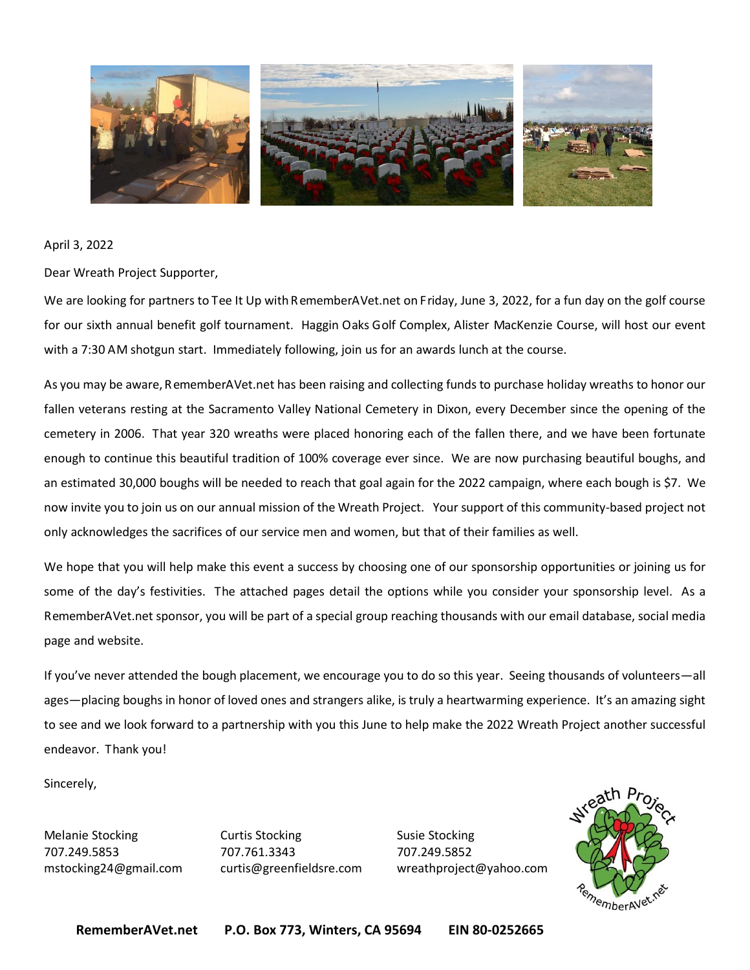

April 3, 2022

Dear Wreath Project Supporter,

We are looking for partners to Tee It Up with RememberAVet.net on Friday, June 3, 2022, for a fun day on the golf course for our sixth annual benefit golf tournament. Haggin Oaks Golf Complex, Alister MacKenzie Course, will host our event with a 7:30 AM shotgun start. Immediately following, join us for an awards lunch at the course.

As you may be aware, RememberAVet.net has been raising and collecting funds to purchase holiday wreaths to honor our fallen veterans resting at the Sacramento Valley National Cemetery in Dixon, every December since the opening of the cemetery in 2006. That year 320 wreaths were placed honoring each of the fallen there, and we have been fortunate enough to continue this beautiful tradition of 100% coverage ever since. We are now purchasing beautiful boughs, and an estimated 30,000 boughs will be needed to reach that goal again for the 2022 campaign, where each bough is \$7. We now invite you to join us on our annual mission of the Wreath Project. Your support of this community-based project not only acknowledges the sacrifices of our service men and women, but that of their families as well.

We hope that you will help make this event a success by choosing one of our sponsorship opportunities or joining us for some of the day's festivities. The attached pages detail the options while you consider your sponsorship level. As a RememberAVet.net sponsor, you will be part of a special group reaching thousands with our email database, social media page and website.

If you've never attended the bough placement, we encourage you to do so this year. Seeing thousands of volunteers—all ages—placing boughs in honor of loved ones and strangers alike, is truly a heartwarming experience. It's an amazing sight to see and we look forward to a partnership with you this June to help make the 2022 Wreath Project another successful endeavor. Thank you!

Sincerely,

Melanie Stocking The Curtis Stocking The Susie Stocking 707.249.5853 707.761.3343 707.249.5852

mstocking24@gmail.com curtis@greenfieldsre.com wreathproject@yahoo.com

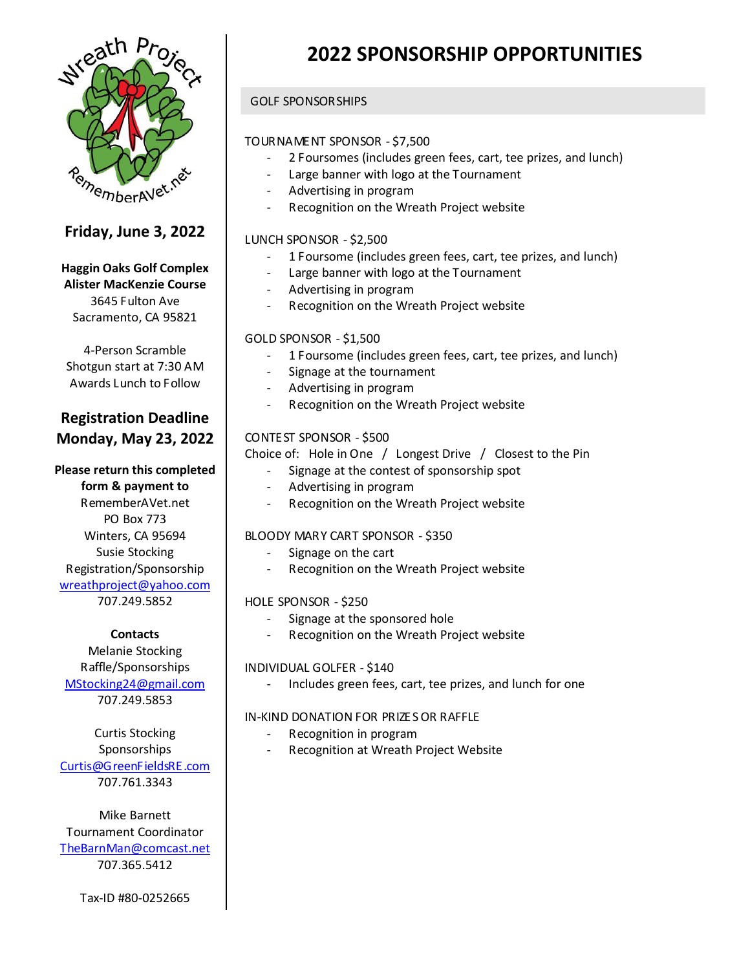

### **Friday, June 3, 2022**

#### **Haggin Oaks Golf Complex Alister MacKenzie Course** 3645 Fulton Ave Sacramento, CA 95821

4-Person Scramble Shotgun start at 7:30 AM Awards Lunch to Follow

### **Registration Deadline Monday, May 23, 2022**

# **Please return this completed**

**form & payment to** RememberAVet.net PO Box 773 Winters, CA 95694 Susie Stocking Registration/Sponsorship [wreathproject@yahoo.com](mailto:wreathproject@yahoo.com) 707.249.5852

#### **Contacts**

Melanie Stocking Raffle/Sponsorships [MStocking24@gmail.com](mailto:MStocking24@gmail.com) 707.249.5853

Curtis Stocking Sponsorships [Curtis@GreenFieldsRE.com](mailto:Curtis@GreenFieldsRE.com) 707.761.3343

Mike Barnett Tournament Coordinator [TheBarnMan@comcast.net](mailto:TheBarnMan@comcast.net) 707.365.5412

#### Tax-ID #80-0252665

# **2022 SPONSORSHIP OPPORTUNITIES**

#### GOLF SPONSORSHIPS

#### TOURNAMENT SPONSOR - \$7,500

- 2 Foursomes (includes green fees, cart, tee prizes, and lunch)
- Large banner with logo at the Tournament
- Advertising in program
- Recognition on the Wreath Project website

#### LUNCH SPONSOR - \$2,500

- 1 Foursome (includes green fees, cart, tee prizes, and lunch)
- Large banner with logo at the Tournament
- Advertising in program
- Recognition on the Wreath Project website

#### GOLD SPONSOR - \$1,500

- 1 Foursome (includes green fees, cart, tee prizes, and lunch)
- Signage at the tournament
- Advertising in program
- Recognition on the Wreath Project website

#### CONTEST SPONSOR - \$500

Choice of: Hole in One / Longest Drive / Closest to the Pin

- Signage at the contest of sponsorship spot
- Advertising in program
- Recognition on the Wreath Project website

#### BLOODY MARY CART SPONSOR - \$350

- Signage on the cart
- Recognition on the Wreath Project website

#### HOLE SPONSOR - \$250

- Signage at the sponsored hole
- Recognition on the Wreath Project website

#### INDIVIDUAL GOLFER - \$140

Includes green fees, cart, tee prizes, and lunch for one

#### IN-KIND DONATION FOR PRIZES OR RAFFLE

- Recognition in program
- Recognition at Wreath Project Website